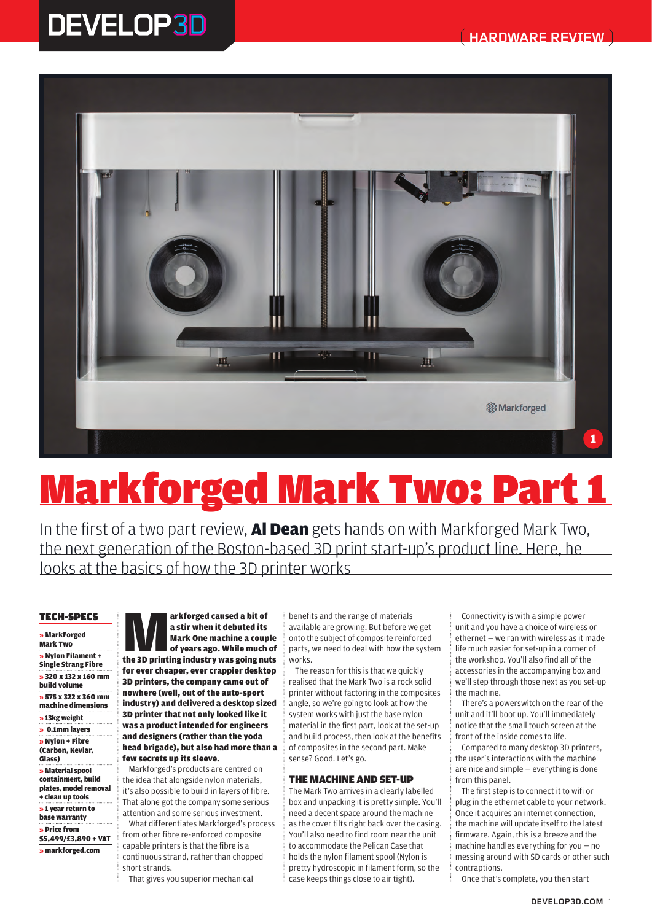

# **Markforged Mark Two: Part 1**

In the first of a two part review, **Al Dean** gets hands on with Markforged Mark Two, the next generation of the Boston-based 3D print start-up's product line. Here, he looks at the basics of how the 3D printer works

## **TECH-SPECS**

» MarkForged Mark Two » Nylon Filament + Single Strang Fibre » 320 x 132 x 160 mm build volume » 575 x 322 x 360 mm machine dimensions » 13kg weight » 0.1mm layers » Nylon + Fibre (Carbon, Kevlar, Glass) » Material spool containment, build plates, model removal + clean up tools » 1 year return to base warranty » Price from

\$5,499/£3,890 + VAT » markforged.com

arkforged caused a bit of<br>
a stir when it debuted its<br>
Mark One machine a couple<br>
of years ago. While much of<br>
the 3D printing industry was going nuts a stir when it debuted its Mark One machine a couple of years ago. While much of for ever cheaper, ever crappier desktop 3D printers, the company came out of nowhere (well, out of the auto-sport industry) and delivered a desktop sized 3D printer that not only looked like it was a product intended for engineers and designers (rather than the yoda head brigade), but also had more than a few secrets up its sleeve.

Markforged's products are centred on the idea that alongside nylon materials, it's also possible to build in layers of fibre. That alone got the company some serious attention and some serious investment.

What differentiates Markforged's process from other fibre re-enforced composite capable printers is that the fibre is a continuous strand, rather than chopped short strands.

That gives you superior mechanical

benefits and the range of materials available are growing. But before we get onto the subject of composite reinforced parts, we need to deal with how the system works.

The reason for this is that we quickly realised that the Mark Two is a rock solid printer without factoring in the composites angle, so we're going to look at how the system works with just the base nylon material in the first part, look at the set-up and build process, then look at the benefits of composites in the second part. Make sense? Good. Let's go.

## **THE MACHINE AND SET-UP**

The Mark Two arrives in a clearly labelled box and unpacking it is pretty simple. You'll need a decent space around the machine as the cover tilts right back over the casing. You'll also need to find room near the unit to accommodate the Pelican Case that holds the nylon filament spool (Nylon is pretty hydroscopic in filament form, so the case keeps things close to air tight).

Connectivity is with a simple power unit and you have a choice of wireless or ethernet — we ran with wireless as it made life much easier for set-up in a corner of the workshop. You'll also find all of the accessories in the accompanying box and we'll step through those next as you set-up the machine.

There's a powerswitch on the rear of the unit and it'll boot up. You'll immediately notice that the small touch screen at the front of the inside comes to life.

Compared to many desktop 3D printers, the user's interactions with the machine are nice and simple — everything is done from this panel.

The first step is to connect it to wifi or plug in the ethernet cable to your network. Once it acquires an internet connection, the machine will update itself to the latest firmware. Again, this is a breeze and the machine handles everything for you — no messing around with SD cards or other such contraptions.

Once that's complete, you then start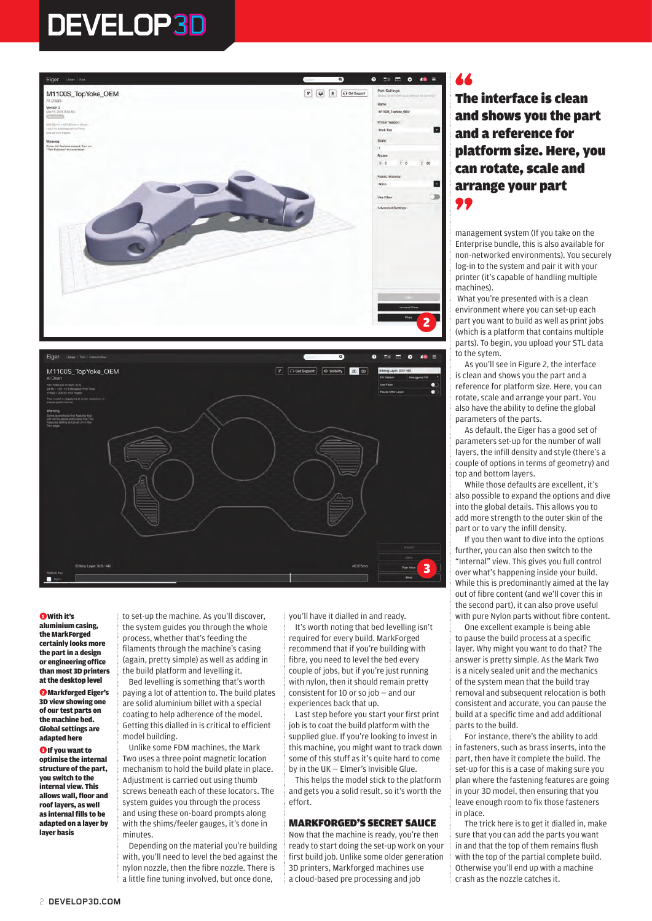

### **A** With it's

aluminium casing, the MarkForged certainly looks more the part in a design or engineering office than most 3D printers at the desktop level

●2 Markforged Eiger's 3D view showing one of our test parts on the machine bed. Global settings are adapted here

**A** If you want to optimise the internal structure of the part, you switch to the internal view. This allows wall, floor and roof layers, as well as internal fills to be adapted on a layer by layer basis

to set-up the machine. As you'll discover, the system guides you through the whole process, whether that's feeding the filaments through the machine's casing (again, pretty simple) as well as adding in the build platform and levelling it.

Bed levelling is something that's worth paying a lot of attention to. The build plates are solid aluminium billet with a special coating to help adherence of the model. Getting this dialled in is critical to efficient model building.

Unlike some FDM machines, the Mark Two uses a three point magnetic location mechanism to hold the build plate in place. Adjustment is carried out using thumb screws beneath each of these locators. The system guides you through the process and using these on-board prompts along with the shims/feeler gauges, it's done in minutes.

Depending on the material you're building with, you'll need to level the bed against the nylon nozzle, then the fibre nozzle. There is a little fine tuning involved, but once done,

you'll have it dialled in and ready.

It's worth noting that bed levelling isn't required for every build. MarkForged recommend that if you're building with fibre, you need to level the bed every couple of jobs, but if you're just running with nylon, then it should remain pretty consistent for 10 or so job — and our experiences back that up.

3

Last step before you start your first print job is to coat the build platform with the supplied glue. If you're looking to invest in this machine, you might want to track down some of this stuff as it's quite hard to come by in the UK — Elmer's Invisible Glue.

This helps the model stick to the platform and gets you a solid result, so it's worth the effort.

## **MARKFORGED'S SECRET SAUCE**

Now that the machine is ready, you're then ready to start doing the set-up work on your first build job. Unlike some older generation 3D printers, Markforged machines use a cloud-based pre processing and job

## 44

**The interface is clean and shows you the part and a reference for platform size. Here, you can rotate, scale and arrange your part**  99

management system (If you take on the Enterprise bundle, this is also available for non-networked environments). You securely log-in to the system and pair it with your printer (it's capable of handling multiple machines).

What you're presented with is a clean environment where you can set-up each part you want to build as well as print jobs (which is a platform that contains multiple parts). To begin, you upload your STL data to the sytem.

As you'll see in Figure 2, the interface is clean and shows you the part and a reference for platform size. Here, you can rotate, scale and arrange your part. You also have the ability to define the global parameters of the parts.

As default, the Eiger has a good set of parameters set-up for the number of wall layers, the infill density and style (there's a couple of options in terms of geometry) and top and bottom layers.

While those defaults are excellent, it's also possible to expand the options and dive into the global details. This allows you to add more strength to the outer skin of the part or to vary the infill density.

If you then want to dive into the options further, you can also then switch to the "Internal" view. This gives you full control over what's happening inside your build. While this is predominantly aimed at the lay out of fibre content (and we'll cover this in the second part), it can also prove useful with pure Nylon parts without fibre content.

One excellent example is being able to pause the build process at a specific layer. Why might you want to do that? The answer is pretty simple. As the Mark Two is a nicely sealed unit and the mechanics of the system mean that the build tray removal and subsequent relocation is both consistent and accurate, you can pause the build at a specific time and add additional parts to the build.

For instance, there's the ability to add in fasteners, such as brass inserts, into the part, then have it complete the build. The set-up for this is a case of making sure you plan where the fastening features are going in your 3D model, then ensuring that you leave enough room to fix those fasteners in place.

The trick here is to get it dialled in, make sure that you can add the parts you want in and that the top of them remains flush with the top of the partial complete build. Otherwise you'll end up with a machine crash as the nozzle catches it.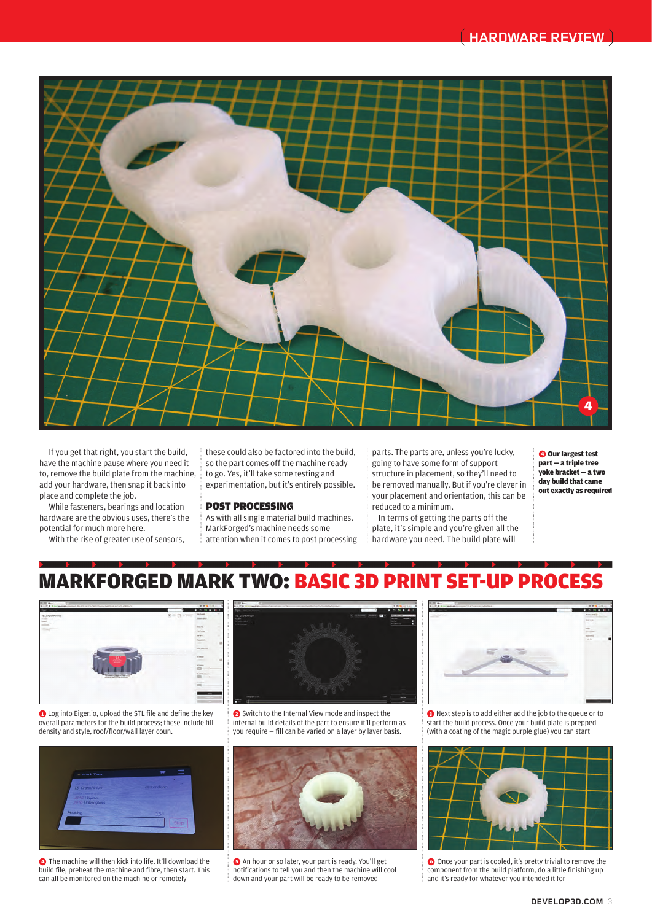

If you get that right, you start the build, have the machine pause where you need it to, remove the build plate from the machine, add your hardware, then snap it back into place and complete the job.

While fasteners, bearings and location hardware are the obvious uses, there's the potential for much more here.

With the rise of greater use of sensors,

these could also be factored into the build, so the part comes off the machine ready to go. Yes, it'll take some testing and experimentation, but it's entirely possible.

## **POST PROCESSING**

As with all single material build machines, MarkForged's machine needs some attention when it comes to post processing parts. The parts are, unless you're lucky, going to have some form of support structure in placement, so they'll need to be removed manually. But if you're clever in your placement and orientation, this can be reduced to a minimum.

In terms of getting the parts off the plate, it's simple and you're given all the hardware you need. The build plate will

**O** Our largest test part — a triple tree yoke bracket — a two day build that came out exactly as required

## MARKFORGED MARK TWO: BASIC 3D PRINT SET-UP PROCESS



**O** Log into Eiger.io, upload the STL file and define the key overall parameters for the build process; these include fill density and style, roof/floor/wall layer coun.



**O** The machine will then kick into life. It'll download the build file, preheat the machine and fibre, then start. This can all be monitored on the machine or remotely



●2 Switch to the Internal View mode and inspect the internal build details of the part to ensure it'll perform as you require — fill can be varied on a layer by layer basis.



●5 An hour or so later, your part is ready. You'll get notifications to tell you and then the machine will cool down and your part will be ready to be removed



●3 Next step is to add either add the job to the queue or to start the build process. Once your build plate is prepped (with a coating of the magic purple glue) you can start



O Once your part is cooled, it's pretty trivial to remove the component from the build platform, do a little finishing up and it's ready for whatever you intended it for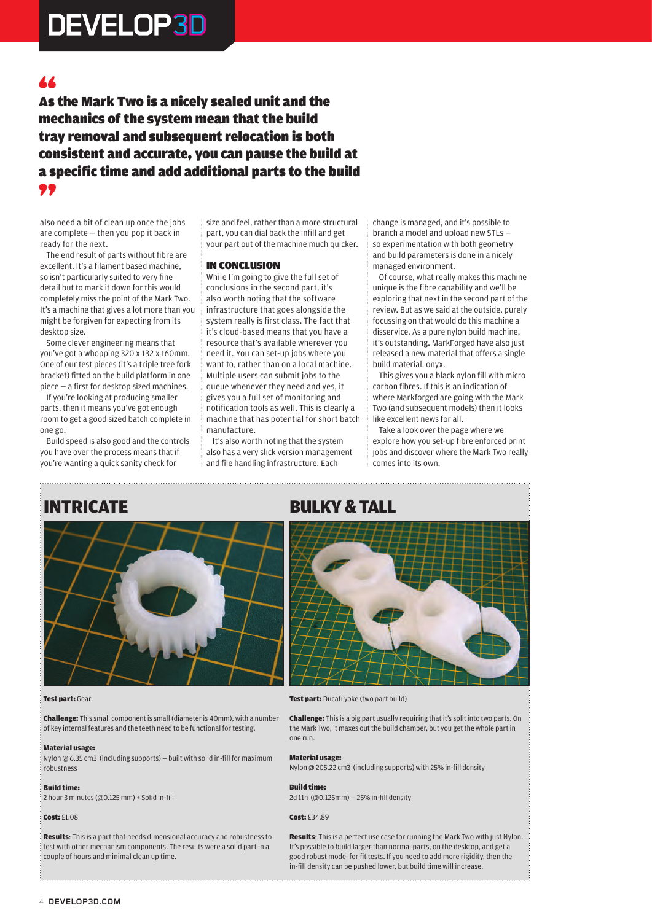## 66

**As the Mark Two is a nicely sealed unit and the mechanics of the system mean that the build tray removal and subsequent relocation is both consistent and accurate, you can pause the build at a specific time and add additional parts to the build**  99

also need a bit of clean up once the jobs are complete — then you pop it back in ready for the next.

The end result of parts without fibre are excellent. It's a filament based machine, so isn't particularly suited to very fine detail but to mark it down for this would completely miss the point of the Mark Two. It's a machine that gives a lot more than you might be forgiven for expecting from its desktop size.

Some clever engineering means that you've got a whopping 320 x 132 x 160mm. One of our test pieces (it's a triple tree fork bracket) fitted on the build platform in one piece — a first for desktop sized machines.

If you're looking at producing smaller parts, then it means you've got enough room to get a good sized batch complete in one go.

Build speed is also good and the controls you have over the process means that if you're wanting a quick sanity check for

size and feel, rather than a more structural part, you can dial back the infill and get your part out of the machine much quicker.

## **IN CONCLUSION**

While I'm going to give the full set of conclusions in the second part, it's also worth noting that the software infrastructure that goes alongside the system really is first class. The fact that it's cloud-based means that you have a resource that's available wherever you need it. You can set-up jobs where you want to, rather than on a local machine. Multiple users can submit jobs to the queue whenever they need and yes, it gives you a full set of monitoring and notification tools as well. This is clearly a machine that has potential for short batch manufacture.

It's also worth noting that the system also has a very slick version management and file handling infrastructure. Each

change is managed, and it's possible to branch a model and upload new STLs so experimentation with both geometry and build parameters is done in a nicely managed environment.

Of course, what really makes this machine unique is the fibre capability and we'll be exploring that next in the second part of the review. But as we said at the outside, purely focussing on that would do this machine a disservice. As a pure nylon build machine, it's outstanding. MarkForged have also just released a new material that offers a single build material, onyx.

This gives you a black nylon fill with micro carbon fibres. If this is an indication of where Markforged are going with the Mark Two (and subsequent models) then it looks like excellent news for all.

Take a look over the page where we explore how you set-up fibre enforced print jobs and discover where the Mark Two really comes into its own.



## Test part: Gear

Challenge: This small component is small (diameter is 40mm), with a number of key internal features and the teeth need to be functional for testing.

#### Material usage:

Nylon @ 6.35 cm3 (including supports) — built with solid in-fill for maximum robustness

#### Build time:

2 hour 3 minutes (@0.125 mm) + Solid in-fill

#### **Cost: £1.08**

Results: This is a part that needs dimensional accuracy and robustness to test with other mechanism components. The results were a solid part in a couple of hours and minimal clean up time.

## **INTRICATE BULKY & TALL**



Test part: Ducati voke (two part build)

Challenge: This is a big part usually requiring that it's split into two parts. On the Mark Two, it maxes out the build chamber, but you get the whole part in one run.

#### Material usage:

Nylon @ 205.22 cm3 (including supports) with 25% in-fill density

Build time:

2d 11h (@0.125mm) — 25% in-fill density

## Cost: £34.89

Results: This is a perfect use case for running the Mark Two with just Nylon. It's possible to build larger than normal parts, on the desktop, and get a good robust model for fit tests. If you need to add more rigidity, then the in-fill density can be pushed lower, but build time will increase.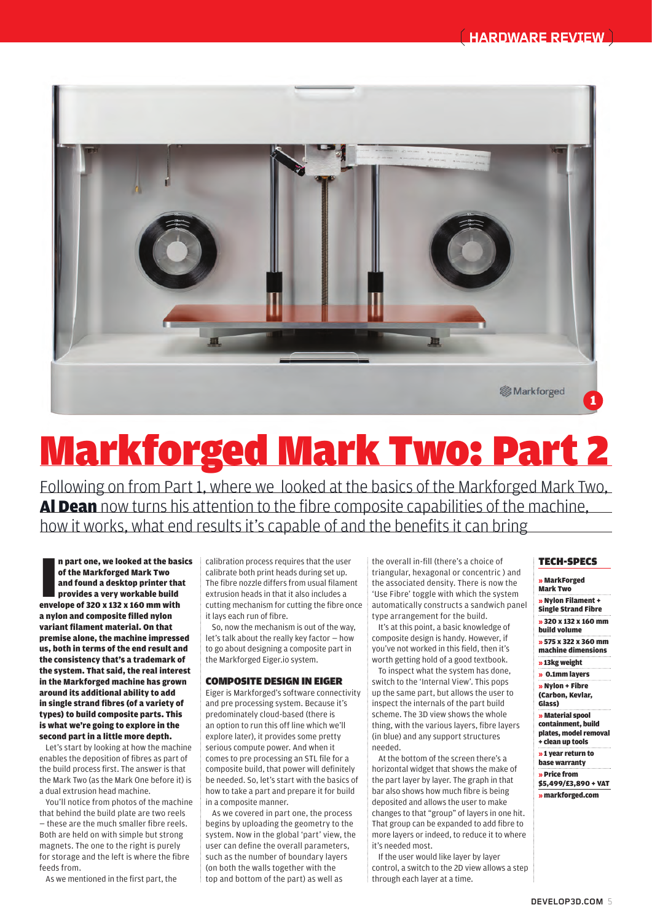

# **Markforged Mark Two: Part 2**

Following on from Part 1, where we looked at the basics of the Markforged Mark Two, Al Dean now turns his attention to the fibre composite capabilities of the machine, how it works, what end results it's capable of and the benefits it can bring

In part one, we looked at the base<br>of the Markforged Mark Two<br>and found a desktop printer tha<br>provides a very workable build<br>envelope of 320 x 132 x 160 mm with n part one, we looked at the basics of the Markforged Mark Two and found a desktop printer that provides a very workable build a nylon and composite filled nylon variant filament material. On that premise alone, the machine impressed us, both in terms of the end result and the consistency that's a trademark of the system. That said, the real interest in the Markforged machine has grown around its additional ability to add in single strand fibres (of a variety of types) to build composite parts. This is what we're going to explore in the second part in a little more depth.

Let's start by looking at how the machine enables the deposition of fibres as part of the build process first. The answer is that the Mark Two (as the Mark One before it) is a dual extrusion head machine.

You'll notice from photos of the machine that behind the build plate are two reels — these are the much smaller fibre reels. Both are held on with simple but strong magnets. The one to the right is purely for storage and the left is where the fibre feeds from.

As we mentioned in the first part, the

calibration process requires that the user calibrate both print heads during set up. The fibre nozzle differs from usual filament extrusion heads in that it also includes a cutting mechanism for cutting the fibre once it lays each run of fibre.

So, now the mechanism is out of the way, let's talk about the really key factor — how to go about designing a composite part in the Markforged Eiger.io system.

## **COMPOSITE DESIGN IN EIGER**

Eiger is Markforged's software connectivity and pre processing system. Because it's predominately cloud-based (there is an option to run this off line which we'll explore later), it provides some pretty serious compute power. And when it comes to pre processing an STL file for a composite build, that power will definitely be needed. So, let's start with the basics of how to take a part and prepare it for build in a composite manner.

As we covered in part one, the process begins by uploading the geometry to the system. Now in the global 'part' view, the user can define the overall parameters, such as the number of boundary layers (on both the walls together with the top and bottom of the part) as well as

the overall in-fill (there's a choice of triangular, hexagonal or concentric ) and the associated density. There is now the 'Use Fibre' toggle with which the system automatically constructs a sandwich panel type arrangement for the build.

It's at this point, a basic knowledge of composite design is handy. However, if you've not worked in this field, then it's worth getting hold of a good textbook.

To inspect what the system has done, switch to the 'Internal View'. This pops up the same part, but allows the user to inspect the internals of the part build scheme. The 3D view shows the whole thing, with the various layers, fibre layers (in blue) and any support structures needed.

At the bottom of the screen there's a horizontal widget that shows the make of the part layer by layer. The graph in that bar also shows how much fibre is being deposited and allows the user to make changes to that "group" of layers in one hit. That group can be expanded to add fibre to more layers or indeed, to reduce it to where it's needed most.

If the user would like layer by layer control, a switch to the 2D view allows a step through each layer at a time.

## **TECH-SPECS**

- » MarkForged
- Mark Two
- » Nylon Filament + Single Strand Fibre
- » 320 x 132 x 160 mm
- build volume
- » 575 x 322 x 360 mm machine dimensions
- » 13kg weight
- » 0.1mm layers
- » Nylon + Fibre
- (Carbon, Kevlar, Glass)
- » Material spool containment, build
- plates, model removal
- + clean up tools
- » 1 year return to
- base warranty » Price from
- \$5,499/£3,890 + VAT
	- » markforged.com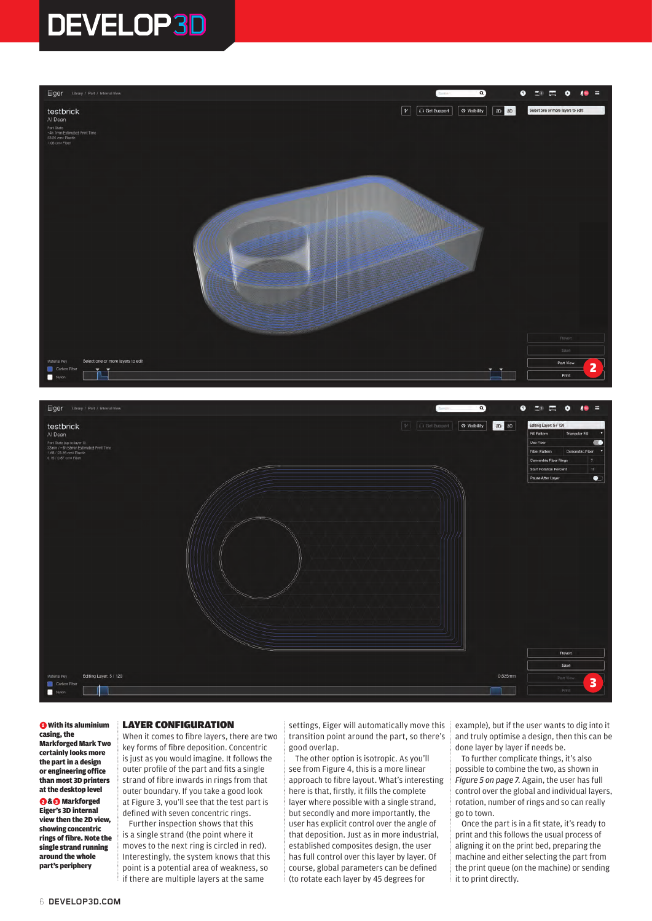



**O** With its aluminium casing, the Markforged Mark Two certainly looks more the part in a design or engineering office than most 3D printers at the desktop level

**88 Markforged** Eiger's 3D internal view then the 2D view, showing concentric rings of fibre. Note the single strand running around the whole part's periphery

## **LAYER CONFIGURATION**

When it comes to fibre layers, there are two key forms of fibre deposition. Concentric is just as you would imagine. It follows the outer profile of the part and fits a single strand of fibre inwards in rings from that outer boundary. If you take a good look at Figure 3, you'll see that the test part is defined with seven concentric rings.

Further inspection shows that this is a single strand (the point where it moves to the next ring is circled in red). Interestingly, the system knows that this point is a potential area of weakness, so if there are multiple layers at the same

settings, Eiger will automatically move this transition point around the part, so there's good overlap.

The other option is isotropic. As you'll see from Figure 4, this is a more linear approach to fibre layout. What's interesting here is that, firstly, it fills the complete layer where possible with a single strand, but secondly and more importantly, the user has explicit control over the angle of that deposition. Just as in more industrial, established composites design, the user has full control over this layer by layer. Of course, global parameters can be defined (to rotate each layer by 45 degrees for

example), but if the user wants to dig into it and truly optimise a design, then this can be done layer by layer if needs be.

To further complicate things, it's also possible to combine the two, as shown in *Figure 5 on page 7*. Again, the user has full control over the global and individual layers, rotation, number of rings and so can really go to town.

Once the part is in a fit state, it's ready to print and this follows the usual process of aligning it on the print bed, preparing the machine and either selecting the part from the print queue (on the machine) or sending it to print directly.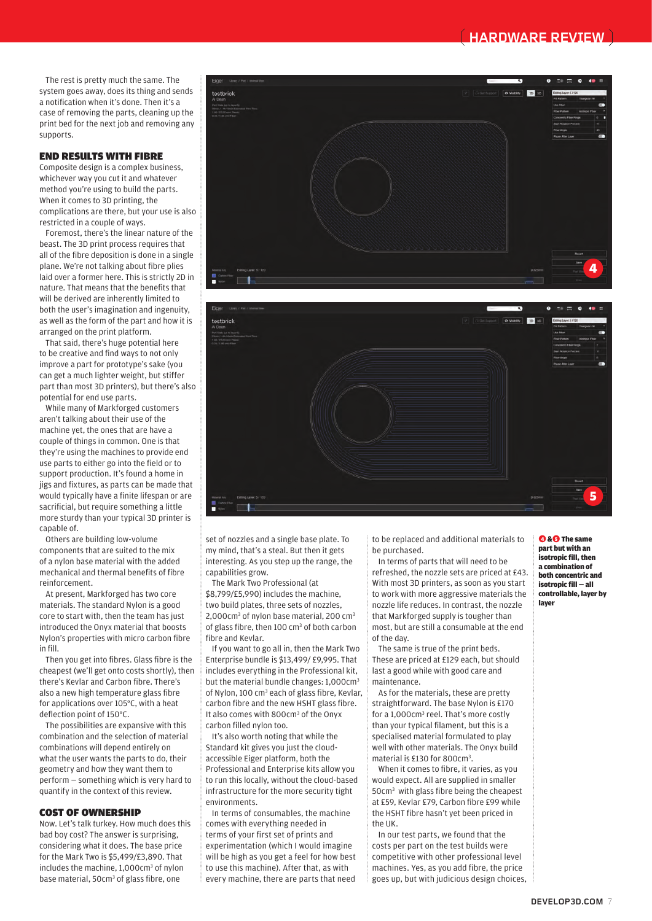## **HARDWARE REVIEW**

The rest is pretty much the same. The system goes away, does its thing and sends a notification when it's done. Then it's a case of removing the parts, cleaning up the print bed for the next job and removing any supports.

### **END RESULTS WITH FIBRE**

Composite design is a complex business, whichever way you cut it and whatever method you're using to build the parts. When it comes to 3D printing, the complications are there, but your use is also restricted in a couple of ways.

Foremost, there's the linear nature of the beast. The 3D print process requires that all of the fibre deposition is done in a single plane. We're not talking about fibre plies laid over a former here. This is strictly 2D in nature. That means that the benefits that will be derived are inherently limited to both the user's imagination and ingenuity, as well as the form of the part and how it is arranged on the print platform.

That said, there's huge potential here to be creative and find ways to not only improve a part for prototype's sake (you can get a much lighter weight, but stiffer part than most 3D printers), but there's also potential for end use parts.

While many of Markforged customers aren't talking about their use of the machine yet, the ones that are have a couple of things in common. One is that they're using the machines to provide end use parts to either go into the field or to support production. It's found a home in jigs and fixtures, as parts can be made that would typically have a finite lifespan or are sacrificial, but require something a little more sturdy than your typical 3D printer is capable of.

Others are building low-volume components that are suited to the mix of a nylon base material with the added mechanical and thermal benefits of fibre reinforcement.

At present, Markforged has two core materials. The standard Nylon is a good core to start with, then the team has just introduced the Onyx material that boosts Nylon's properties with micro carbon fibre in fill.

Then you get into fibres. Glass fibre is the cheapest (we'll get onto costs shortly), then there's Kevlar and Carbon fibre. There's also a new high temperature glass fibre for applications over 105°C, with a heat deflection point of 150°C.

The possibilities are expansive with this combination and the selection of material combinations will depend entirely on what the user wants the parts to do, their geometry and how they want them to perform — something which is very hard to quantify in the context of this review.

#### **COST OF OWNERSHIP**

Now. Let's talk turkey. How much does this bad boy cost? The answer is surprising, considering what it does. The base price for the Mark Two is \$5,499/£3,890. That includes the machine, 1,000cm<sup>3</sup> of nylon base material, 50cm<sup>3</sup> of glass fibre, one





set of nozzles and a single base plate. To my mind, that's a steal. But then it gets interesting. As you step up the range, the capabilities grow.

The Mark Two Professional (at \$8,799/£5,990) includes the machine, two build plates, three sets of nozzles, 2,000cm<sup>3</sup> of nylon base material, 200 cm<sup>3</sup> of glass fibre, then 100 cm<sup>3</sup> of both carbon fibre and Kevlar.

If you want to go all in, then the Mark Two Enterprise bundle is \$13,499/ £9,995. That includes everything in the Professional kit, but the material bundle changes: 1,000cm<sup>3</sup> of Nylon, 100 cm<sup>3</sup> each of glass fibre, Kevlar, carbon fibre and the new HSHT glass fibre. It also comes with 800cm<sup>3</sup> of the Onyx carbon filled nylon too.

It's also worth noting that while the Standard kit gives you just the cloudaccessible Eiger platform, both the Professional and Enterprise kits allow you to run this locally, without the cloud-based infrastructure for the more security tight environments.

In terms of consumables, the machine comes with everything needed in terms of your first set of prints and experimentation (which I would imagine will be high as you get a feel for how best to use this machine). After that, as with every machine, there are parts that need

to be replaced and additional materials to be purchased.

In terms of parts that will need to be refreshed, the nozzle sets are priced at £43. With most 3D printers, as soon as you start to work with more aggressive materials the nozzle life reduces. In contrast, the nozzle that Markforged supply is tougher than most, but are still a consumable at the end of the day.

The same is true of the print beds. These are priced at £129 each, but should last a good while with good care and maintenance.

As for the materials, these are pretty straightforward. The base Nylon is £170 for a 1,000cm<sup>3</sup> reel. That's more costly than your typical filament, but this is a specialised material formulated to play well with other materials. The Onyx build material is £130 for 800cm<sup>3</sup>.

When it comes to fibre, it varies, as you would expect. All are supplied in smaller 50cm3 with glass fibre being the cheapest at £59, Kevlar £79, Carbon fibre £99 while the HSHT fibre hasn't yet been priced in the UK.

In our test parts, we found that the costs per part on the test builds were competitive with other professional level machines. Yes, as you add fibre, the price goes up, but with judicious design choices,

**A&B** The same part but with an isotropic fill, then a combination of both concentric and isotropic fill — all controllable, layer by layer